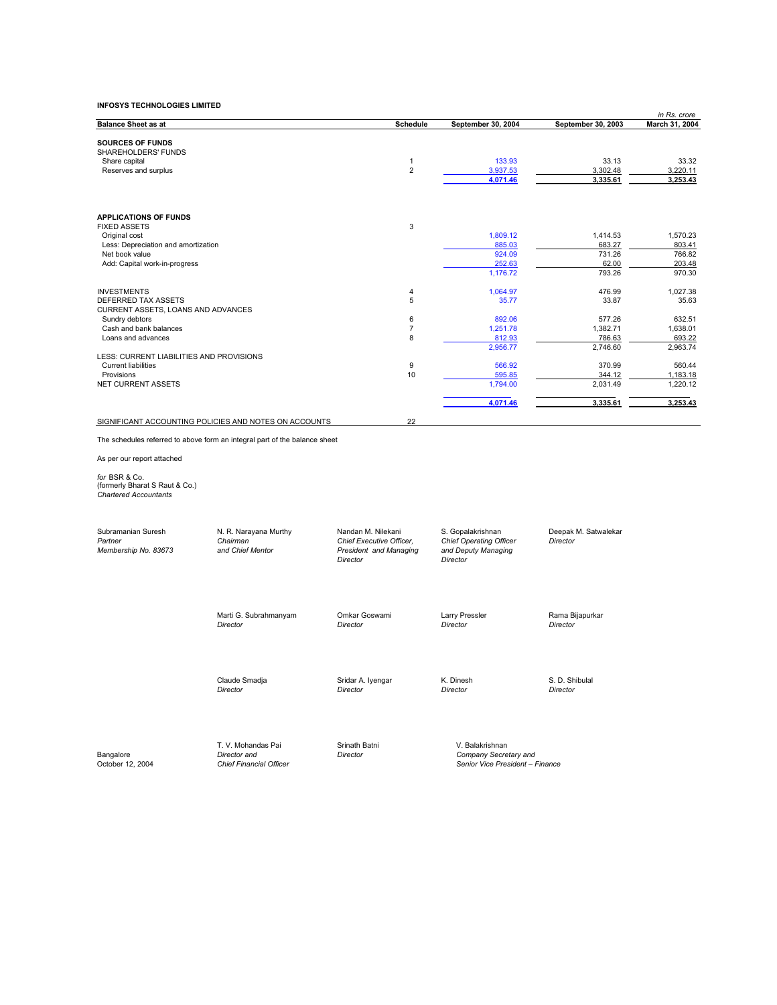|                                                                                 |                                                                            |                             |                                          |                      | in Rs. crore         |
|---------------------------------------------------------------------------------|----------------------------------------------------------------------------|-----------------------------|------------------------------------------|----------------------|----------------------|
| <b>Balance Sheet as at</b>                                                      |                                                                            | Schedule                    | September 30, 2004                       | September 30, 2003   | March 31, 2004       |
|                                                                                 |                                                                            |                             |                                          |                      |                      |
| <b>SOURCES OF FUNDS</b>                                                         |                                                                            |                             |                                          |                      |                      |
| SHAREHOLDERS' FUNDS                                                             |                                                                            |                             |                                          |                      |                      |
| Share capital                                                                   |                                                                            | $\mathbf{1}$<br>$\mathbf 2$ | 133.93                                   | 33.13                | 33.32                |
| Reserves and surplus                                                            |                                                                            |                             | 3,937.53<br>4,071.46                     | 3,302.48<br>3,335.61 | 3,220.11<br>3,253.43 |
|                                                                                 |                                                                            |                             |                                          |                      |                      |
|                                                                                 |                                                                            |                             |                                          |                      |                      |
| <b>APPLICATIONS OF FUNDS</b>                                                    |                                                                            |                             |                                          |                      |                      |
| <b>FIXED ASSETS</b>                                                             |                                                                            | 3                           |                                          |                      |                      |
| Original cost                                                                   |                                                                            |                             | 1,809.12                                 | 1,414.53             | 1,570.23             |
| Less: Depreciation and amortization                                             |                                                                            |                             | 885.03                                   | 683.27               | 803.41               |
| Net book value                                                                  |                                                                            |                             | 924.09                                   | 731.26               | 766.82               |
| Add: Capital work-in-progress                                                   |                                                                            |                             | 252.63                                   | 62.00                | 203.48               |
|                                                                                 |                                                                            |                             | 1,176.72                                 | 793.26               | 970.30               |
| <b>INVESTMENTS</b>                                                              |                                                                            | $\overline{4}$              | 1,064.97                                 | 476.99               | 1,027.38             |
| DEFERRED TAX ASSETS                                                             |                                                                            | 5                           | 35.77                                    | 33.87                | 35.63                |
| CURRENT ASSETS, LOANS AND ADVANCES                                              |                                                                            |                             |                                          |                      |                      |
| Sundry debtors                                                                  |                                                                            | 6                           | 892.06                                   | 577.26               | 632.51               |
| Cash and bank balances                                                          |                                                                            | $\overline{7}$              | 1,251.78                                 | 1,382.71             | 1,638.01             |
| Loans and advances                                                              |                                                                            | 8                           | 812.93                                   | 786.63               | 693.22               |
|                                                                                 |                                                                            |                             | 2,956.77                                 | 2,746.60             | 2,963.74             |
| LESS: CURRENT LIABILITIES AND PROVISIONS                                        |                                                                            |                             |                                          |                      |                      |
| <b>Current liabilities</b>                                                      |                                                                            | 9                           | 566.92                                   | 370.99               | 560.44               |
| Provisions                                                                      |                                                                            | 10                          | 595.85                                   | 344.12               | 1,183.18             |
| NET CURRENT ASSETS                                                              |                                                                            |                             | 1,794.00                                 | 2,031.49             | 1,220.12             |
|                                                                                 |                                                                            |                             | 4,071.46                                 | 3,335.61             | 3,253.43             |
|                                                                                 |                                                                            |                             |                                          |                      |                      |
|                                                                                 | SIGNIFICANT ACCOUNTING POLICIES AND NOTES ON ACCOUNTS                      | 22                          |                                          |                      |                      |
|                                                                                 | The schedules referred to above form an integral part of the balance sheet |                             |                                          |                      |                      |
| As per our report attached                                                      |                                                                            |                             |                                          |                      |                      |
| for BSR & Co.<br>(formerly Bharat S Raut & Co.)<br><b>Chartered Accountants</b> |                                                                            |                             |                                          |                      |                      |
|                                                                                 |                                                                            |                             |                                          |                      |                      |
| Subramanian Suresh                                                              | N. R. Narayana Murthy                                                      | Nandan M. Nilekani          | S. Gopalakrishnan                        | Deepak M. Satwalekar |                      |
| Partner                                                                         | Chairman                                                                   | Chief Executive Officer,    | <b>Chief Operating Officer</b>           | Director             |                      |
| Membership No. 83673                                                            | and Chief Mentor                                                           | President and Managing      | and Deputy Managing                      |                      |                      |
|                                                                                 |                                                                            | Director                    | Director                                 |                      |                      |
|                                                                                 |                                                                            |                             |                                          |                      |                      |
|                                                                                 |                                                                            |                             |                                          |                      |                      |
|                                                                                 | Marti G. Subrahmanyam                                                      | Omkar Goswami               | Larry Pressler                           | Rama Bijapurkar      |                      |
|                                                                                 | Director                                                                   | Director                    | Director                                 | Director             |                      |
|                                                                                 |                                                                            |                             |                                          |                      |                      |
|                                                                                 |                                                                            |                             |                                          |                      |                      |
|                                                                                 | Claude Smadja                                                              | Sridar A. Iyengar           | K. Dinesh                                | S. D. Shibulal       |                      |
|                                                                                 | Director                                                                   | Director                    | Director                                 | Director             |                      |
|                                                                                 |                                                                            |                             |                                          |                      |                      |
|                                                                                 |                                                                            |                             |                                          |                      |                      |
| Bangalore                                                                       | T. V. Mohandas Pai<br>Director and                                         | Srinath Batni<br>Director   | V. Balakrishnan<br>Company Secretary and |                      |                      |
| October 12, 2004                                                                | <b>Chief Financial Officer</b>                                             |                             | Senior Vice President - Finance          |                      |                      |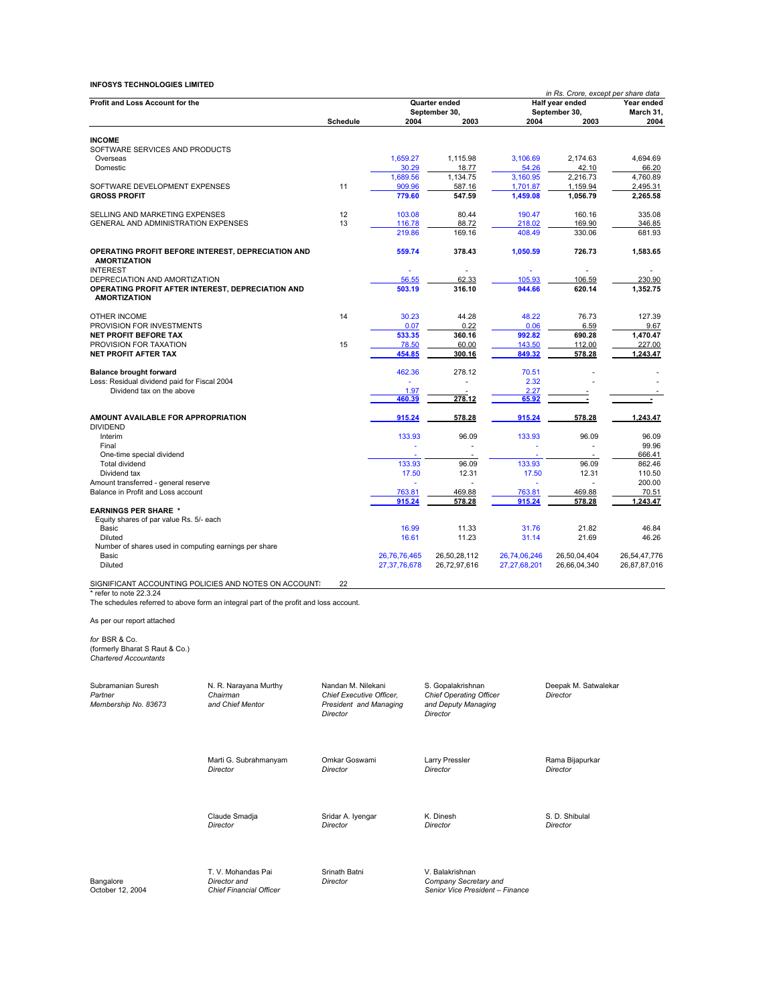|                                                                                  |                 |                 |                                |                  | in Rs. Crore, except per share data |                    |  |
|----------------------------------------------------------------------------------|-----------------|-----------------|--------------------------------|------------------|-------------------------------------|--------------------|--|
| <b>Profit and Loss Account for the</b>                                           |                 |                 | Quarter ended<br>September 30, |                  | Half year ended<br>September 30,    |                    |  |
|                                                                                  | <b>Schedule</b> | 2004            | 2003                           | 2004             | 2003                                | 2004               |  |
|                                                                                  |                 |                 |                                |                  |                                     |                    |  |
| <b>INCOME</b>                                                                    |                 |                 |                                |                  |                                     |                    |  |
| SOFTWARE SERVICES AND PRODUCTS                                                   |                 |                 |                                |                  |                                     |                    |  |
| Overseas                                                                         |                 | 1,659.27        | 1,115.98                       | 3,106.69         | 2,174.63                            | 4,694.69           |  |
| Domestic                                                                         |                 | 30.29           | 18.77                          | 54.26            | 42.10                               | 66.20              |  |
|                                                                                  |                 | 1.689.56        | 1.134.75                       | 3.160.95         | 2.216.73                            | 4,760.89           |  |
| SOFTWARE DEVELOPMENT EXPENSES                                                    | 11              | 909.96          | 587.16                         | 1,701.87         | 1,159.94                            | 2,495.31           |  |
| <b>GROSS PROFIT</b>                                                              |                 | 779.60          | 547.59                         | 1,459.08         | 1,056.79                            | 2,265.58           |  |
| SELLING AND MARKETING EXPENSES                                                   | 12              | 103.08          | 80.44                          | 190.47           | 160.16                              | 335.08             |  |
| <b>GENERAL AND ADMINISTRATION EXPENSES</b>                                       | 13              | 116.78          | 88.72                          | 218.02           | 169.90                              | 346.85             |  |
|                                                                                  |                 | 219.86          | 169.16                         | 408.49           | 330.06                              | 681.93             |  |
| OPERATING PROFIT BEFORE INTEREST, DEPRECIATION AND                               |                 | 559.74          | 378.43                         | 1,050.59         | 726.73                              | 1,583.65           |  |
| <b>AMORTIZATION</b>                                                              |                 |                 |                                |                  |                                     |                    |  |
| <b>INTEREST</b>                                                                  |                 | ÷               | $\sim$                         |                  | ä,                                  | ٠                  |  |
| DEPRECIATION AND AMORTIZATION                                                    |                 | 56.55<br>503.19 | 62.33<br>316.10                | 105.93<br>944.66 | 106.59<br>620.14                    | 230.90<br>1,352.75 |  |
| OPERATING PROFIT AFTER INTEREST, DEPRECIATION AND<br><b>AMORTIZATION</b>         |                 |                 |                                |                  |                                     |                    |  |
| <b>OTHER INCOME</b>                                                              | 14              | 30.23           | 44.28                          | 48.22            | 76.73                               | 127.39             |  |
| PROVISION FOR INVESTMENTS                                                        |                 | 0.07            | 0.22                           | 0.06             | 6.59                                | 9.67               |  |
| <b>NET PROFIT BEFORE TAX</b>                                                     |                 | 533.35          | 360.16                         | 992.82           | 690.28                              | 1,470.47           |  |
| PROVISION FOR TAXATION                                                           | 15              | 78.50           | 60.00                          | 143.50           | 112.00                              | 227.00             |  |
| <b>NET PROFIT AFTER TAX</b>                                                      |                 | 454.85          | 300.16                         | 849.32           | 578.28                              | 1,243.47           |  |
|                                                                                  |                 |                 |                                |                  |                                     |                    |  |
| <b>Balance brought forward</b>                                                   |                 | 462.36          | 278.12                         | 70.51            |                                     |                    |  |
| Less: Residual dividend paid for Fiscal 2004                                     |                 |                 | ×.                             | 2.32             |                                     |                    |  |
| Dividend tax on the above                                                        |                 | 1.97            |                                | 2.27             |                                     |                    |  |
|                                                                                  |                 | 460.39          | 278.12                         | 65.92            |                                     |                    |  |
| AMOUNT AVAILABLE FOR APPROPRIATION<br><b>DIVIDEND</b>                            |                 | 915.24          | 578.28                         | 915.24           | 578.28                              | 1.243.47           |  |
| Interim                                                                          |                 | 133.93          | 96.09                          | 133.93           | 96.09                               | 96.09              |  |
| Final                                                                            |                 |                 |                                |                  |                                     | 99.96              |  |
| One-time special dividend                                                        |                 |                 |                                |                  |                                     | 666.41             |  |
| Total dividend                                                                   |                 | 133.93          | 96.09                          | 133.93           | 96.09                               | 862.46             |  |
| Dividend tax                                                                     |                 | 17.50           | 12.31                          | 17.50            | 12.31                               | 110.50             |  |
| Amount transferred - general reserve                                             |                 |                 |                                |                  |                                     | 200.00             |  |
| Balance in Profit and Loss account                                               |                 | 763.81          | 469.88                         | 763.81           | 469.88                              | 70.51              |  |
| <b>EARNINGS PER SHARE *</b>                                                      |                 | 915.24          | 578.28                         | 915.24           | 578.28                              | 1,243.47           |  |
| Equity shares of par value Rs. 5/- each                                          |                 |                 |                                |                  |                                     |                    |  |
| Basic                                                                            |                 | 16.99           | 11.33                          | 31.76            | 21.82                               | 46.84              |  |
| <b>Diluted</b>                                                                   |                 | 16.61           | 11.23                          | 31.14            | 21.69                               | 46.26              |  |
| Number of shares used in computing earnings per share                            |                 |                 |                                |                  |                                     |                    |  |
| Basic                                                                            |                 | 26.76.76.465    | 26,50,28,112                   | 26.74.06.246     | 26,50,04,404                        | 26,54,47,776       |  |
| <b>Diluted</b>                                                                   |                 | 27,37,76,678    | 26,72,97,616                   | 27,27,68,201     | 26,66,04,340                        | 26,87,87,016       |  |
| SIGNIFICANT ACCOUNTING POLICIES AND NOTES ON ACCOUNT.<br>* refer to note 22.3.24 | 22              |                 |                                |                  |                                     |                    |  |

The schedules referred to above form an integral part of the profit and loss account.

As per our report attached

*for* BSR & Co. (formerly Bharat S Raut & Co.) *Chartered Accountants*

| Subramanian Suresh<br>Partner<br>Membership No. 83673 | N. R. Narayana Murthy<br>Chairman<br>and Chief Mentor                | Nandan M. Nilekani<br>Chief Executive Officer,<br>President and Managing<br>Director | S. Gopalakrishnan<br><b>Chief Operating Officer</b><br>and Deputy Managing<br>Director | Deepak M. Satwalekar<br>Director |
|-------------------------------------------------------|----------------------------------------------------------------------|--------------------------------------------------------------------------------------|----------------------------------------------------------------------------------------|----------------------------------|
|                                                       | Marti G. Subrahmanyam                                                | Omkar Goswami                                                                        | Larry Pressler                                                                         | Rama Bijapurkar                  |
|                                                       | Director                                                             | Director                                                                             | Director                                                                               | Director                         |
|                                                       | Claude Smadja                                                        | Sridar A. Iyengar                                                                    | K. Dinesh                                                                              | S. D. Shibulal                   |
|                                                       | Director                                                             | Director                                                                             | Director                                                                               | Director                         |
| Bangalore<br>October 12, 2004                         | T. V. Mohandas Pai<br>Director and<br><b>Chief Financial Officer</b> | Srinath Batni<br>Director                                                            | V. Balakrishnan<br>Company Secretary and<br>Senior Vice President - Finance            |                                  |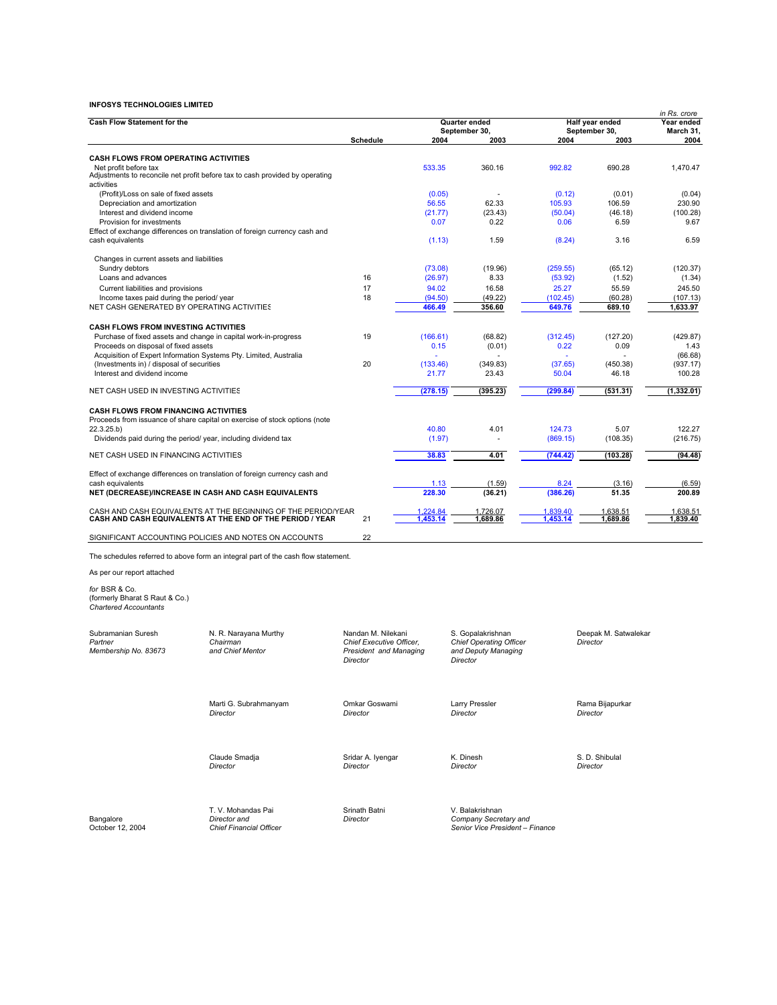| <b>Cash Flow Statement for the</b>                                   |                                                                                   |                          | Quarter ended |                                |          | Half year ended      |             |  |
|----------------------------------------------------------------------|-----------------------------------------------------------------------------------|--------------------------|---------------|--------------------------------|----------|----------------------|-------------|--|
|                                                                      |                                                                                   |                          |               | September 30,                  |          | September 30,        |             |  |
|                                                                      |                                                                                   | <b>Schedule</b>          | 2004          | 2003                           | 2004     | 2003                 | 2004        |  |
|                                                                      |                                                                                   |                          |               |                                |          |                      |             |  |
| <b>CASH FLOWS FROM OPERATING ACTIVITIES</b><br>Net profit before tax |                                                                                   |                          | 533.35        | 360.16                         | 992.82   | 690.28               | 1.470.47    |  |
|                                                                      | Adjustments to reconcile net profit before tax to cash provided by operating      |                          |               |                                |          |                      |             |  |
| activities                                                           |                                                                                   |                          |               |                                |          |                      |             |  |
| (Profit)/Loss on sale of fixed assets                                |                                                                                   |                          | (0.05)        |                                | (0.12)   | (0.01)               | (0.04)      |  |
| Depreciation and amortization                                        |                                                                                   |                          | 56.55         | 62.33                          | 105.93   | 106.59               | 230.90      |  |
| Interest and dividend income                                         |                                                                                   |                          | (21.77)       | (23.43)                        | (50.04)  | (46.18)              | (100.28)    |  |
| Provision for investments                                            |                                                                                   |                          | 0.07          | 0.22                           | 0.06     | 6.59                 | 9.67        |  |
|                                                                      | Effect of exchange differences on translation of foreign currency cash and        |                          |               |                                |          |                      |             |  |
| cash equivalents                                                     |                                                                                   |                          | (1.13)        | 1.59                           | (8.24)   | 3.16                 | 6.59        |  |
| Changes in current assets and liabilities                            |                                                                                   |                          |               |                                |          |                      |             |  |
| Sundry debtors                                                       |                                                                                   |                          | (73.08)       | (19.96)                        | (259.55) | (65.12)              | (120.37)    |  |
| Loans and advances                                                   |                                                                                   | 16                       | (26.97)       | 8.33                           | (53.92)  | (1.52)               | (1.34)      |  |
| Current liabilities and provisions                                   |                                                                                   | 17                       | 94.02         | 16.58                          | 25.27    | 55.59                | 245.50      |  |
| Income taxes paid during the period/ year                            |                                                                                   | 18                       | (94.50)       | (49.22)                        | (102.45) | (60.28)              | (107.13)    |  |
| NET CASH GENERATED BY OPERATING ACTIVITIES                           |                                                                                   |                          | 466.49        | 356.60                         | 649.76   | 689.10               | 1,633.97    |  |
|                                                                      |                                                                                   |                          |               |                                |          |                      |             |  |
| <b>CASH FLOWS FROM INVESTING ACTIVITIES</b>                          |                                                                                   |                          |               |                                |          |                      |             |  |
| Purchase of fixed assets and change in capital work-in-progress      |                                                                                   | 19                       | (166.61)      | (68.82)                        | (312.45) | (127.20)             | (429.87)    |  |
| Proceeds on disposal of fixed assets                                 |                                                                                   |                          | 0.15          | (0.01)                         | 0.22     | 0.09                 | 1.43        |  |
| Acquisition of Expert Information Systems Pty. Limited, Australia    |                                                                                   |                          |               |                                |          |                      | (66.68)     |  |
| (Investments in) / disposal of securities                            |                                                                                   | 20                       | (133.46)      | (349.83)                       | (37.65)  | (450.38)             | (937.17)    |  |
| Interest and dividend income                                         |                                                                                   |                          | 21.77         | 23.43                          | 50.04    | 46.18                | 100.28      |  |
| NET CASH USED IN INVESTING ACTIVITIES                                |                                                                                   |                          | (278.15)      | (395.23)                       | (299.84) | (531.31)             | (1, 332.01) |  |
|                                                                      |                                                                                   |                          |               |                                |          |                      |             |  |
| <b>CASH FLOWS FROM FINANCING ACTIVITIES</b>                          |                                                                                   |                          |               |                                |          |                      |             |  |
|                                                                      | Proceeds from issuance of share capital on exercise of stock options (note        |                          |               |                                |          |                      |             |  |
| 22.3.25.b)                                                           |                                                                                   |                          | 40.80         | 4.01                           | 124.73   | 5.07                 | 122.27      |  |
| Dividends paid during the period/ year, including dividend tax       |                                                                                   |                          | (1.97)        |                                | (869.15) | (108.35)             | (216.75)    |  |
|                                                                      |                                                                                   |                          |               |                                |          |                      |             |  |
| NET CASH USED IN FINANCING ACTIVITIES                                |                                                                                   |                          | 38.83         | 4.01                           | (744.42) | (103.28)             | (94.48)     |  |
|                                                                      | Effect of exchange differences on translation of foreign currency cash and        |                          |               |                                |          |                      |             |  |
| cash equivalents                                                     |                                                                                   |                          | 1.13          | (1.59)                         | 8.24     | (3.16)               | (6.59)      |  |
|                                                                      | NET (DECREASE)/INCREASE IN CASH AND CASH EQUIVALENTS                              |                          | 228.30        | (36.21)                        | (386.26) | 51.35                | 200.89      |  |
|                                                                      |                                                                                   |                          |               |                                |          |                      |             |  |
|                                                                      | CASH AND CASH EQUIVALENTS AT THE BEGINNING OF THE PERIOD/YEAR                     |                          | 1,224.84      | 1,726.07                       | 1,839.40 | 1,638.51             | 1,638.51    |  |
|                                                                      | CASH AND CASH EQUIVALENTS AT THE END OF THE PERIOD / YEAR                         | 21                       | 1.453.14      | 1.689.86                       | 1.453.14 | 1.689.86             | 1.839.40    |  |
|                                                                      | SIGNIFICANT ACCOUNTING POLICIES AND NOTES ON ACCOUNTS                             | 22                       |               |                                |          |                      |             |  |
|                                                                      |                                                                                   |                          |               |                                |          |                      |             |  |
|                                                                      | The schedules referred to above form an integral part of the cash flow statement. |                          |               |                                |          |                      |             |  |
| As per our report attached                                           |                                                                                   |                          |               |                                |          |                      |             |  |
| for BSR & Co.                                                        |                                                                                   |                          |               |                                |          |                      |             |  |
| (formerly Bharat S Raut & Co.)                                       |                                                                                   |                          |               |                                |          |                      |             |  |
| <b>Chartered Accountants</b>                                         |                                                                                   |                          |               |                                |          |                      |             |  |
|                                                                      |                                                                                   |                          |               |                                |          |                      |             |  |
| Subramanian Suresh                                                   | N. R. Narayana Murthy                                                             | Nandan M. Nilekani       |               | S. Gopalakrishnan              |          | Deepak M. Satwalekar |             |  |
| Partner                                                              | Chairman                                                                          | Chief Executive Officer, |               | <b>Chief Operating Officer</b> |          | Director             |             |  |
| Membership No. 83673                                                 | and Chief Mentor                                                                  | President and Managing   |               | and Deputy Managing            |          |                      |             |  |
|                                                                      |                                                                                   | Director                 |               | Director                       |          |                      |             |  |
|                                                                      |                                                                                   |                          |               |                                |          |                      |             |  |
|                                                                      |                                                                                   |                          |               |                                |          |                      |             |  |
|                                                                      |                                                                                   |                          |               |                                |          |                      |             |  |
|                                                                      | Marti G. Subrahmanyam                                                             | Omkar Goswami            |               | Larry Pressler                 |          | Rama Bijapurkar      |             |  |
|                                                                      | Director                                                                          | Director                 |               | <b>Director</b>                |          | Director             |             |  |
|                                                                      |                                                                                   |                          |               |                                |          |                      |             |  |
|                                                                      |                                                                                   |                          |               |                                |          |                      |             |  |
|                                                                      |                                                                                   |                          |               |                                |          |                      |             |  |
|                                                                      | Claude Smadia                                                                     | Sridar A. Iyengar        |               | K. Dinesh                      |          | S. D. Shibulal       |             |  |
|                                                                      | Director                                                                          | Director                 |               | Director                       |          | Director             |             |  |
|                                                                      |                                                                                   |                          |               |                                |          |                      |             |  |
|                                                                      |                                                                                   |                          |               |                                |          |                      |             |  |
|                                                                      |                                                                                   |                          |               |                                |          |                      |             |  |

T. V. Mohandas Pai Srinath Batni<br>Director and Director<br>Chief Financial Officer

Bangalore *Director and Director Company Secretary and* October 12, 2004 *Chief Financial Officer Senior Vice President – Finance*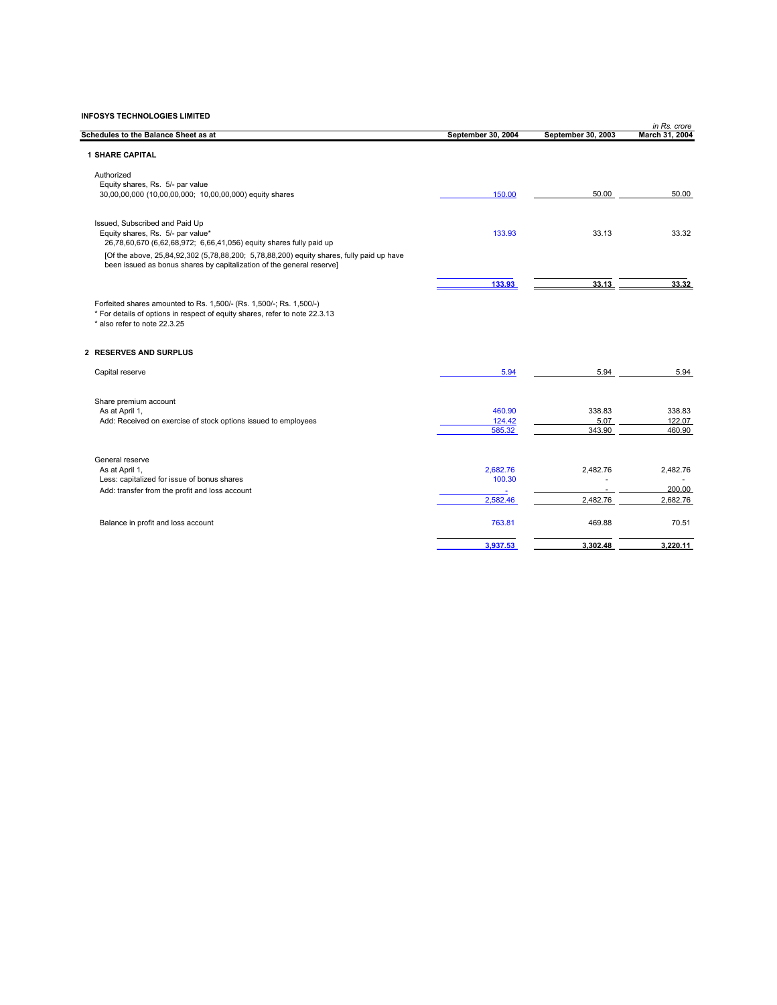|                                                                                                                                                                                    |                    |                    | in Rs. crore   |
|------------------------------------------------------------------------------------------------------------------------------------------------------------------------------------|--------------------|--------------------|----------------|
| Schedules to the Balance Sheet as at                                                                                                                                               | September 30, 2004 | September 30, 2003 | March 31, 2004 |
| <b>1 SHARE CAPITAL</b>                                                                                                                                                             |                    |                    |                |
| Authorized                                                                                                                                                                         |                    |                    |                |
| Equity shares, Rs. 5/- par value                                                                                                                                                   |                    |                    |                |
| 30,00,00,000 (10,00,00,000; 10,00,00,000) equity shares                                                                                                                            | 150.00             | 50.00              | 50.00          |
| Issued, Subscribed and Paid Up                                                                                                                                                     |                    |                    |                |
| Equity shares, Rs. 5/- par value*<br>26,78,60,670 (6,62,68,972; 6,66,41,056) equity shares fully paid up                                                                           | 133.93             | 33.13              | 33.32          |
| [Of the above, 25,84,92,302 (5,78,88,200; 5,78,88,200) equity shares, fully paid up have                                                                                           |                    |                    |                |
| been issued as bonus shares by capitalization of the general reserve]                                                                                                              |                    |                    |                |
|                                                                                                                                                                                    | 133.93             | 33.13              | 33.32          |
| Forfeited shares amounted to Rs. 1,500/- (Rs. 1,500/-; Rs. 1,500/-)<br>* For details of options in respect of equity shares, refer to note 22.3.13<br>* also refer to note 22.3.25 |                    |                    |                |
| 2 RESERVES AND SURPLUS                                                                                                                                                             |                    |                    |                |
| Capital reserve                                                                                                                                                                    | 5.94               | 5.94               | 5.94           |
| Share premium account                                                                                                                                                              |                    |                    |                |
| As at April 1,                                                                                                                                                                     | 460.90             | 338.83             | 338.83         |
| Add: Received on exercise of stock options issued to employees                                                                                                                     | 124.42             | 5.07               | 122.07         |
|                                                                                                                                                                                    | 585.32             | 343.90             | 460.90         |
| General reserve                                                                                                                                                                    |                    |                    |                |
| As at April 1,                                                                                                                                                                     | 2,682.76           | 2,482.76           | 2,482.76       |
| Less: capitalized for issue of bonus shares                                                                                                                                        | 100.30             |                    |                |
| Add: transfer from the profit and loss account                                                                                                                                     |                    |                    | 200.00         |
|                                                                                                                                                                                    | 2,582.46           | 2.482.76           | 2,682.76       |
| Balance in profit and loss account                                                                                                                                                 | 763.81             | 469.88             | 70.51          |
|                                                                                                                                                                                    | 3,937.53           | 3,302.48           | 3,220.11       |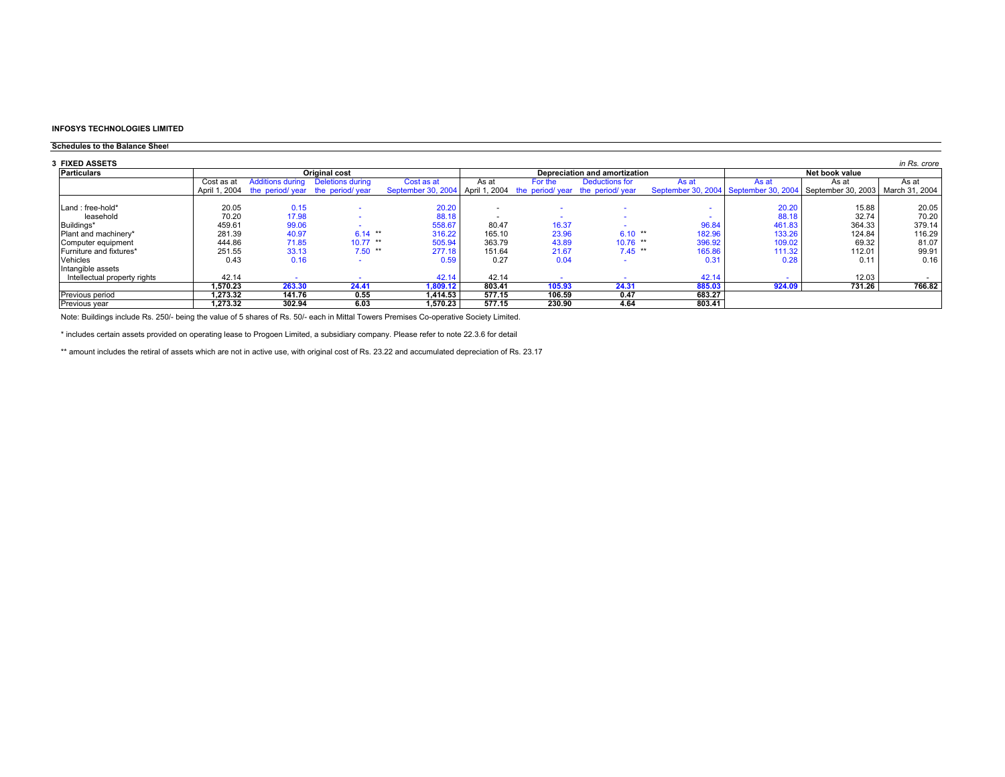#### **Schedules to the Balance Sheet**

| 3 FIXED ASSETS               |               |                         |                                 |                                                                    |        |                               |                |        |                |                                                                         | in Rs. crore |
|------------------------------|---------------|-------------------------|---------------------------------|--------------------------------------------------------------------|--------|-------------------------------|----------------|--------|----------------|-------------------------------------------------------------------------|--------------|
| <b>Particulars</b>           |               |                         | <b>Original cost</b>            |                                                                    |        | Depreciation and amortization |                |        | Net book value |                                                                         |              |
|                              | Cost as at    | <b>Additions during</b> | Deletions during                | Cost as at                                                         | As at  | For the                       | Deductions for | As at  | As at          | As at                                                                   | As at        |
|                              | April 1, 2004 |                         | the period/year the period/year | September 30, 2004 April 1, 2004 the period/ year the period/ year |        |                               |                |        |                | September 30, 2004 September 30, 2004 September 30, 2003 March 31, 2004 |              |
|                              |               |                         |                                 |                                                                    |        |                               |                |        |                |                                                                         |              |
| Land : free-hold*            | 20.05         | 0.15                    |                                 | 20.20                                                              |        |                               |                |        | 20.20          | 15.88                                                                   | 20.05        |
| leasehold                    | 70.20         | 17.98                   |                                 | 88.18                                                              |        |                               |                |        | 88.18          | 32.74                                                                   | 70.20        |
| Buildings*                   | 459.61        | 99.06                   |                                 | 558.67                                                             | 80.47  | 16.37                         |                | 96.84  | 461.83         | 364.33                                                                  | 379.14       |
| Plant and machinery*         | 281.39        | 40.97                   | $6.14$ **                       | 316.22                                                             | 165.10 | 23.96                         | $6.10**$       | 182.96 | 133.26         | 124.84                                                                  | 116.29       |
| Computer equipment           | 444.86        | 71.85                   | $10.77$ **                      | 505.94                                                             | 363.79 | 43.89                         | $10.76$ **     | 396.92 | 109.02         | 69.32                                                                   | 81.07        |
| Furniture and fixtures*      | 251.55        | 33.13                   | $7.50$ **                       | 277.18                                                             | 151.64 | 21.67                         | $7.45$ **      | 165.86 | 111.32         | 112.01                                                                  | 99.91        |
| Vehicles                     | 0.43          | 0.16                    |                                 | 0.59                                                               | 0.27   | 0.04                          | <b>.</b>       | 0.31   | 0.28           | 0.11                                                                    | 0.16         |
| Intangible assets            |               |                         |                                 |                                                                    |        |                               |                |        |                |                                                                         |              |
| Intellectual property rights | 42.14         |                         |                                 | 42.14                                                              | 42.14  |                               |                | 42.14  |                | 12.03                                                                   |              |
|                              | 1.570.23      | 263.30                  | 24.41                           | ,809.12                                                            | 803.41 | 105.93                        | 24.31          | 885.03 | 924.09         | 731.26                                                                  | 766.82       |
| Previous period              | .273.32       | 141.76                  | 0.55                            | 1.414.53                                                           | 577.15 | 106.59                        | 0.47           | 683.27 |                |                                                                         |              |
| <b>Previous year</b>         | 1.273.32      | 302.94                  | 6.03                            | 1.570.23                                                           | 577.15 | 230.90                        | 4.64           | 803.41 |                |                                                                         |              |

Note: Buildings include Rs. 250/- being the value of 5 shares of Rs. 50/- each in Mittal Towers Premises Co-operative Society Limited.

\* includes certain assets provided on operating lease to Progoen Limited, a subsidiary company. Please refer to note 22.3.6 for detail

\*\* amount includes the retiral of assets which are not in active use, with original cost of Rs. 23.22 and accumulated depreciation of Rs. 23.17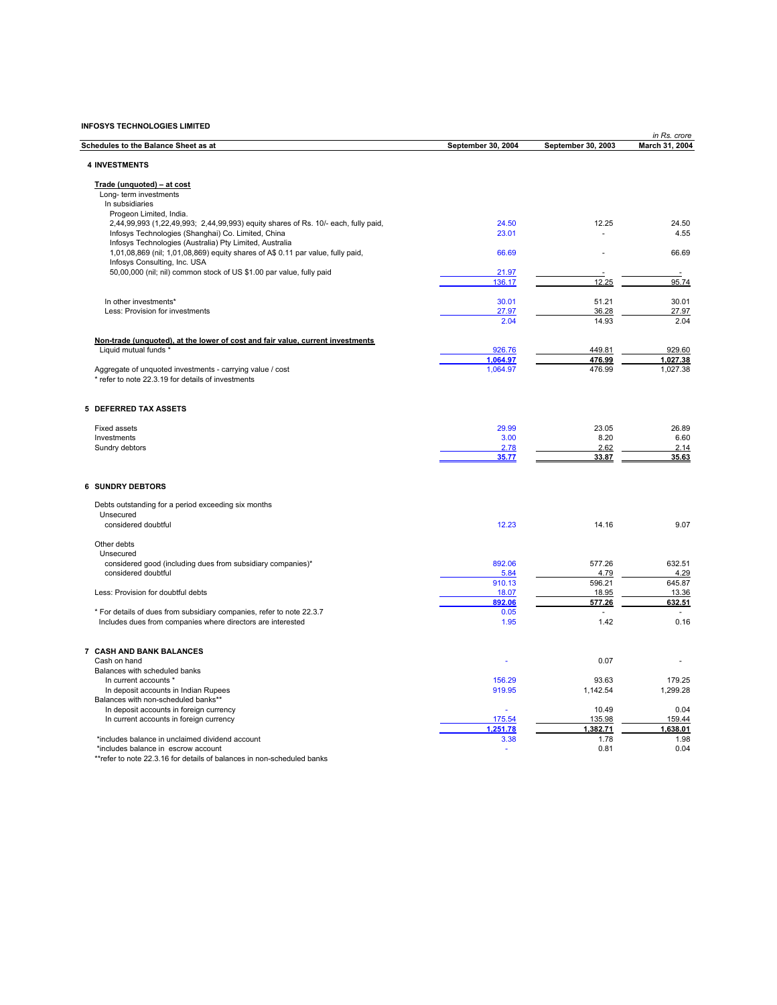|                                                                                                               |                    |                    | in Rs. crore    |
|---------------------------------------------------------------------------------------------------------------|--------------------|--------------------|-----------------|
| Schedules to the Balance Sheet as at                                                                          | September 30, 2004 | September 30, 2003 | March 31, 2004  |
| <b>4 INVESTMENTS</b>                                                                                          |                    |                    |                 |
| Trade (unquoted) - at cost                                                                                    |                    |                    |                 |
| Long- term investments                                                                                        |                    |                    |                 |
| In subsidiaries                                                                                               |                    |                    |                 |
| Progeon Limited, India.<br>2,44,99,993 (1,22,49,993; 2,44,99,993) equity shares of Rs. 10/- each, fully paid, | 24.50              | 12.25              | 24.50           |
| Infosys Technologies (Shanghai) Co. Limited, China                                                            | 23.01              |                    | 4.55            |
| Infosys Technologies (Australia) Pty Limited, Australia                                                       |                    |                    |                 |
| 1,01,08,869 (nil; 1,01,08,869) equity shares of A\$ 0.11 par value, fully paid,                               | 66.69              |                    | 66.69           |
| Infosys Consulting, Inc. USA                                                                                  |                    |                    |                 |
| 50,00,000 (nil; nil) common stock of US \$1.00 par value, fully paid                                          | 21.97              |                    |                 |
|                                                                                                               | 136.17             | 12.25              | 95.74           |
| In other investments*                                                                                         | 30.01              | 51.21              | 30.01           |
| Less: Provision for investments                                                                               | 27.97              | 36.28              | 27.97           |
|                                                                                                               | 2.04               | 14.93              | 2.04            |
|                                                                                                               |                    |                    |                 |
| Non-trade (unquoted), at the lower of cost and fair value, current investments                                |                    |                    |                 |
| Liquid mutual funds *                                                                                         | 926.76             | 449.81             | 929.60          |
|                                                                                                               | 1,064.97           | 476.99             | 1,027.38        |
| Aggregate of unquoted investments - carrying value / cost                                                     | 1,064.97           | 476.99             | 1,027.38        |
| * refer to note 22.3.19 for details of investments                                                            |                    |                    |                 |
|                                                                                                               |                    |                    |                 |
| <b>5 DEFERRED TAX ASSETS</b>                                                                                  |                    |                    |                 |
| <b>Fixed assets</b>                                                                                           | 29.99              | 23.05              | 26.89           |
| Investments                                                                                                   | 3.00               | 8.20               | 6.60            |
| Sundry debtors                                                                                                | 2.78               | 2.62               | 2.14            |
|                                                                                                               | 35.77              | 33.87              | 35.63           |
| <b>6 SUNDRY DEBTORS</b>                                                                                       |                    |                    |                 |
|                                                                                                               |                    |                    |                 |
| Debts outstanding for a period exceeding six months                                                           |                    |                    |                 |
| Unsecured<br>considered doubtful                                                                              | 12.23              | 14.16              | 9.07            |
|                                                                                                               |                    |                    |                 |
| Other debts                                                                                                   |                    |                    |                 |
| Unsecured                                                                                                     |                    |                    |                 |
| considered good (including dues from subsidiary companies)*                                                   | 892.06             | 577.26             | 632.51          |
| considered doubtful                                                                                           | 5.84               | 4.79               | 4.29            |
|                                                                                                               | 910.13             | 596.21             | 645.87          |
| Less: Provision for doubtful debts                                                                            | 18.07<br>892.06    | 18.95<br>577.26    | 13.36<br>632.51 |
| * For details of dues from subsidiary companies, refer to note 22.3.7                                         | 0.05               |                    |                 |
| Includes dues from companies where directors are interested                                                   | 1.95               | 1.42               | 0.16            |
|                                                                                                               |                    |                    |                 |
| 7 CASH AND BANK BALANCES                                                                                      |                    |                    |                 |
| Cash on hand                                                                                                  |                    | 0.07               |                 |
| Balances with scheduled banks                                                                                 |                    |                    |                 |
| In current accounts *                                                                                         | 156.29             | 93.63              | 179.25          |
| In deposit accounts in Indian Rupees                                                                          | 919.95             | 1,142.54           | 1,299.28        |
| Balances with non-scheduled banks**<br>In deposit accounts in foreign currency                                |                    | 10.49              | 0.04            |
| In current accounts in foreign currency                                                                       | 175.54             | 135.98             | 159.44          |
|                                                                                                               | 1,251.78           | 1.382.71           | 1,638.01        |
| *includes balance in unclaimed dividend account                                                               | 3.38               | 1.78               | 1.98            |
| *includes balance in escrow account                                                                           | ä,                 | 0.81               | 0.04            |

\*\*refer to note 22.3.16 for details of balances in non-scheduled banks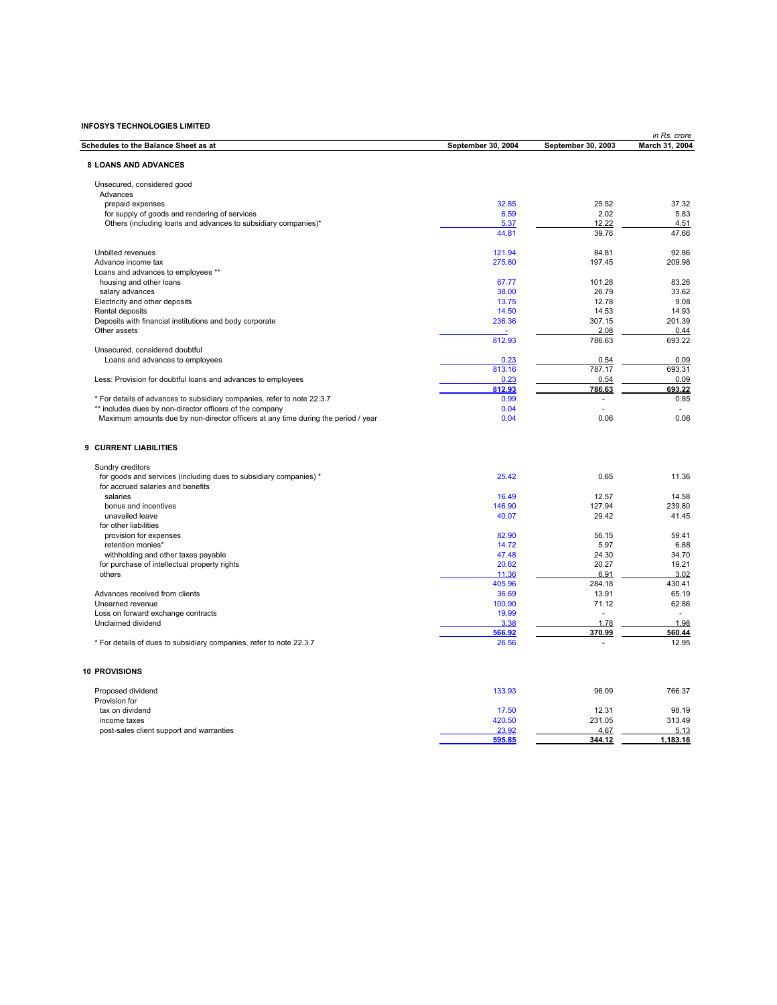|                                                                                   |                    |                    | in Rs. crore   |
|-----------------------------------------------------------------------------------|--------------------|--------------------|----------------|
| Schedules to the Balance Sheet as at                                              | September 30, 2004 | September 30, 2003 | March 31, 2004 |
| <b>8 LOANS AND ADVANCES</b>                                                       |                    |                    |                |
|                                                                                   |                    |                    |                |
| Unsecured, considered good                                                        |                    |                    |                |
| Advances                                                                          |                    |                    |                |
| prepaid expenses                                                                  | 32.85              | 25.52              | 37.32          |
| for supply of goods and rendering of services                                     | 6.59               | 2.02               | 5.83           |
| Others (including loans and advances to subsidiary companies)*                    | 5.37               | 12.22              | 4.51           |
|                                                                                   | 44.81              | 39.76              | 47.66          |
| Unbilled revenues                                                                 | 121.94             | 84.81              | 92.86          |
| Advance income tax                                                                | 275.80             | 197.45             | 209.98         |
| Loans and advances to employees **                                                |                    |                    |                |
| housing and other loans                                                           | 67.77              | 101.28             | 83.26          |
| salary advances                                                                   | 38.00              | 26.79              | 33.62          |
| Electricity and other deposits                                                    | 13.75              | 12.78              | 9.08           |
| Rental deposits                                                                   | 14.50              | 14.53              | 14.93          |
| Deposits with financial institutions and body corporate                           | 236.36             | 307.15             | 201.39         |
| Other assets                                                                      |                    | 2.08               | 0.44           |
|                                                                                   | 812.93             | 786.63             | 693.22         |
| Unsecured, considered doubtful                                                    |                    |                    |                |
| Loans and advances to employees                                                   | 0.23               | 0.54               | 0.09           |
|                                                                                   | 813.16             | 787.17             | 693.31         |
| Less: Provision for doubtful loans and advances to employees                      | 0.23               | 0.54               | 0.09           |
|                                                                                   | 812.93             | 786.63             | 693.22         |
| * For details of advances to subsidiary companies, refer to note 22.3.7           | 0.99               | ٠                  | 0.85           |
| ** includes dues by non-director officers of the company                          | 0.04               |                    |                |
| Maximum amounts due by non-director officers at any time during the period / year | 0.04               | 0.06               | 0.06           |
| 9 CURRENT LIABILITIES                                                             |                    |                    |                |
|                                                                                   |                    |                    |                |
| Sundry creditors                                                                  |                    |                    |                |
| for goods and services (including dues to subsidiary companies) *                 | 25.42              | 0.65               | 11.36          |
| for accrued salaries and benefits                                                 |                    |                    |                |
| salaries                                                                          | 16.49              | 12.57              | 14.58          |
| bonus and incentives                                                              | 146.90             | 127.94             | 239.80         |
| unavailed leave                                                                   | 40.07              | 29.42              | 41.45          |
| for other liabilities                                                             |                    |                    |                |
| provision for expenses                                                            | 82.90              | 56.15              | 59.41          |
| retention monies*                                                                 | 14.72              | 5.97               | 6.88           |
| withholding and other taxes payable                                               | 47.48              | 24.30              | 34.70          |
| for purchase of intellectual property rights                                      | 20.62              | 20.27              | 19.21          |
| others                                                                            | 11.36              | 6.91               | 3.02           |
|                                                                                   | 405.96             | 284.18             | 430.41         |
| Advances received from clients                                                    | 36.69              | 13.91              | 65.19          |
| Unearned revenue                                                                  | 100.90             | 71.12              | 62.86          |
| Loss on forward exchange contracts                                                | 19.99              | ÷                  | in 1919.       |
| Unclaimed dividend                                                                | 3.38               | 1.78               | 1.98           |
|                                                                                   | 566.92             | 370.99             | 560.44         |
| * For details of dues to subsidiary companies, refer to note 22.3.7               | 26.56              |                    | 12.95          |
| <b>10 PROVISIONS</b>                                                              |                    |                    |                |
|                                                                                   |                    |                    |                |
| Proposed dividend                                                                 | 133.93             | 96.09              | 766.37         |
| Provision for                                                                     |                    |                    |                |
| tax on dividend                                                                   | 17.50              | 12.31              | 98.19          |
| income taxes                                                                      | 420.50             | 231.05             | 313.49         |
| post-sales client support and warranties                                          | 23.92              | 4.67               | 5.13           |
|                                                                                   | 595.85             | 344.12             | 1.183.18       |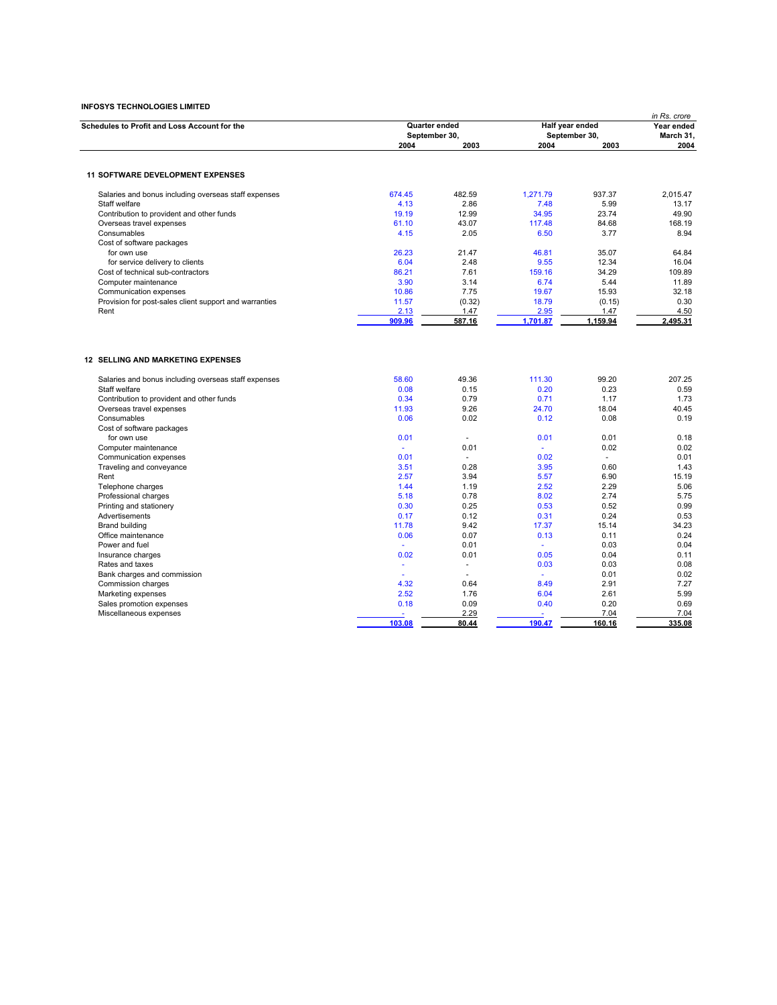| Half year ended<br>Schedules to Profit and Loss Account for the<br>Quarter ended<br>September 30,<br>September 30,<br>2003<br>2003<br>2004<br>2004<br><b>11 SOFTWARE DEVELOPMENT EXPENSES</b><br>674.45<br>482.59<br>1.271.79<br>937.37<br>Salaries and bonus including overseas staff expenses<br>2.86<br>4.13<br>5.99<br>Staff welfare<br>7.48 | Year ended<br>March 31,<br>2004<br>2,015.47<br>13.17<br>49.90<br>168.19<br>8.94<br>64.84<br>16.04 |
|--------------------------------------------------------------------------------------------------------------------------------------------------------------------------------------------------------------------------------------------------------------------------------------------------------------------------------------------------|---------------------------------------------------------------------------------------------------|
|                                                                                                                                                                                                                                                                                                                                                  |                                                                                                   |
|                                                                                                                                                                                                                                                                                                                                                  |                                                                                                   |
|                                                                                                                                                                                                                                                                                                                                                  |                                                                                                   |
|                                                                                                                                                                                                                                                                                                                                                  |                                                                                                   |
|                                                                                                                                                                                                                                                                                                                                                  |                                                                                                   |
|                                                                                                                                                                                                                                                                                                                                                  |                                                                                                   |
| Contribution to provident and other funds<br>19.19<br>12.99<br>34.95<br>23.74                                                                                                                                                                                                                                                                    |                                                                                                   |
| Overseas travel expenses<br>61.10<br>43.07<br>117.48<br>84.68                                                                                                                                                                                                                                                                                    |                                                                                                   |
| 2.05<br>6.50<br>3.77<br>4.15<br>Consumables                                                                                                                                                                                                                                                                                                      |                                                                                                   |
| Cost of software packages                                                                                                                                                                                                                                                                                                                        |                                                                                                   |
| 26.23<br>21.47<br>46.81<br>35.07<br>for own use                                                                                                                                                                                                                                                                                                  |                                                                                                   |
| 6.04<br>2.48<br>9.55<br>12.34<br>for service delivery to clients                                                                                                                                                                                                                                                                                 |                                                                                                   |
| 86.21<br>7.61<br>159.16<br>34.29<br>Cost of technical sub-contractors                                                                                                                                                                                                                                                                            | 109.89                                                                                            |
| 3.14<br>6.74<br>5.44<br>Computer maintenance<br>3.90                                                                                                                                                                                                                                                                                             | 11.89                                                                                             |
| 10.86<br>7.75<br>19.67<br>15.93<br>Communication expenses                                                                                                                                                                                                                                                                                        | 32.18                                                                                             |
| 18.79<br>Provision for post-sales client support and warranties<br>11.57<br>(0.32)<br>(0.15)                                                                                                                                                                                                                                                     | 0.30                                                                                              |
| 2.13<br>1.47<br>2.95<br>1.47<br>Rent                                                                                                                                                                                                                                                                                                             | 4.50                                                                                              |
| 909.96<br>587.16<br>1,701.87<br>1,159.94                                                                                                                                                                                                                                                                                                         | 2,495.31                                                                                          |
| <b>12 SELLING AND MARKETING EXPENSES</b>                                                                                                                                                                                                                                                                                                         |                                                                                                   |
|                                                                                                                                                                                                                                                                                                                                                  |                                                                                                   |
| 111.30<br>99.20<br>58.60<br>49.36<br>Salaries and bonus including overseas staff expenses                                                                                                                                                                                                                                                        | 207.25                                                                                            |
| Staff welfare<br>0.08<br>0.15<br>0.20<br>0.23                                                                                                                                                                                                                                                                                                    | 0.59                                                                                              |
| 0.34<br>0.79<br>0.71<br>1.17<br>Contribution to provident and other funds                                                                                                                                                                                                                                                                        | 1.73                                                                                              |
| 11.93<br>9.26<br>24.70<br>18.04<br>Overseas travel expenses                                                                                                                                                                                                                                                                                      | 40.45                                                                                             |
| Consumables<br>0.06<br>0.02<br>0.12<br>0.08                                                                                                                                                                                                                                                                                                      | 0.19                                                                                              |
| Cost of software packages                                                                                                                                                                                                                                                                                                                        |                                                                                                   |
| 0.01<br>0.01<br>0.01<br>for own use<br>$\sim$                                                                                                                                                                                                                                                                                                    | 0.18                                                                                              |
| 0.01<br>0.02<br>Computer maintenance<br>÷.<br>÷                                                                                                                                                                                                                                                                                                  | 0.02                                                                                              |
| 0.01<br>0.02<br>Communication expenses<br>$\sim$<br>$\sim$                                                                                                                                                                                                                                                                                       | 0.01                                                                                              |
| 3.51<br>0.28<br>3.95<br>0.60<br>Traveling and conveyance                                                                                                                                                                                                                                                                                         | 1.43                                                                                              |
| 3.94<br>6.90<br>Rent<br>2.57<br>5.57                                                                                                                                                                                                                                                                                                             | 15.19                                                                                             |
| 2.52<br>2.29<br>Telephone charges<br>1.44<br>1.19                                                                                                                                                                                                                                                                                                | 5.06                                                                                              |
| 0.78<br>2.74<br>Professional charges<br>5.18<br>8.02                                                                                                                                                                                                                                                                                             | 5.75                                                                                              |
| 0.30<br>0.25<br>0.53<br>0.52<br>Printing and stationery<br>0.24<br>0.17<br>0.12<br>0.31                                                                                                                                                                                                                                                          | 0.99<br>0.53                                                                                      |
| Advertisements<br>11.78<br>9.42<br>17.37<br>15.14<br><b>Brand building</b>                                                                                                                                                                                                                                                                       | 34.23                                                                                             |
| 0.07<br>0.11<br>Office maintenance<br>0.06<br>0.13                                                                                                                                                                                                                                                                                               | 0.24                                                                                              |
| Power and fuel<br>0.01<br>0.03<br>÷                                                                                                                                                                                                                                                                                                              | 0.04                                                                                              |
| 0.01<br>0.05<br>0.04<br>Insurance charges<br>0.02                                                                                                                                                                                                                                                                                                | 0.11                                                                                              |
| 0.03<br>0.03<br>Rates and taxes<br>$\omega$<br>×.                                                                                                                                                                                                                                                                                                | 0.08                                                                                              |
| 0.01<br>Bank charges and commission<br>$\sim$                                                                                                                                                                                                                                                                                                    | 0.02                                                                                              |
| 4.32<br>0.64<br>8.49<br>2.91<br>Commission charges                                                                                                                                                                                                                                                                                               | 7.27                                                                                              |
| 2.52<br>1.76<br>6.04<br>2.61<br>Marketing expenses                                                                                                                                                                                                                                                                                               | 5.99                                                                                              |
| 0.18<br>0.09<br>0.40<br>0.20<br>Sales promotion expenses                                                                                                                                                                                                                                                                                         | 0.69                                                                                              |
| 2.29<br>7.04<br>Miscellaneous expenses                                                                                                                                                                                                                                                                                                           | 7.04                                                                                              |
| 103.08<br>190.47<br>80.44<br>160.16                                                                                                                                                                                                                                                                                                              | 335.08                                                                                            |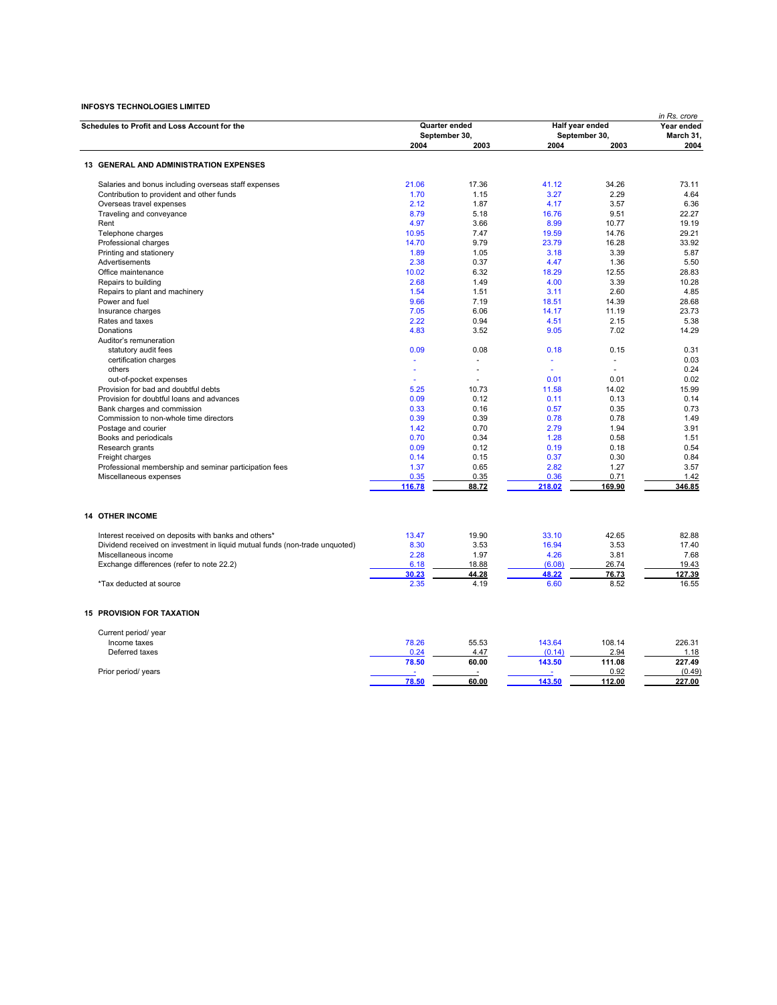|                                                                             |                       |               |                               | in Rs. crore  |                   |  |
|-----------------------------------------------------------------------------|-----------------------|---------------|-------------------------------|---------------|-------------------|--|
| Schedules to Profit and Loss Account for the                                | Quarter ended         |               | Half year ended               |               | Year ended        |  |
|                                                                             | September 30,<br>2004 | 2003          | September 30,<br>2004<br>2003 |               | March 31,<br>2004 |  |
| <b>13 GENERAL AND ADMINISTRATION EXPENSES</b>                               |                       |               |                               |               |                   |  |
|                                                                             | 21.06                 | 17.36         | 41.12                         | 34.26         | 73.11             |  |
| Salaries and bonus including overseas staff expenses                        |                       |               |                               |               |                   |  |
| Contribution to provident and other funds                                   | 1.70                  | 1.15          | 3.27                          | 2.29          | 4.64              |  |
| Overseas travel expenses                                                    | 2.12                  | 1.87          | 4.17                          | 3.57          | 6.36              |  |
| Traveling and conveyance                                                    | 8.79                  | 5.18          | 16.76                         | 9.51          | 22.27             |  |
| Rent                                                                        | 4.97                  | 3.66          | 8.99                          | 10.77         | 19.19             |  |
| Telephone charges                                                           | 10.95                 | 7.47          | 19.59                         | 14.76         | 29.21             |  |
| Professional charges                                                        | 14.70                 | 9.79          | 23.79                         | 16.28         | 33.92             |  |
| Printing and stationery                                                     | 1.89                  | 1.05          | 3.18                          | 3.39          | 5.87              |  |
| Advertisements                                                              | 2.38                  | 0.37          | 4.47                          | 1.36          | 5.50              |  |
| Office maintenance                                                          | 10.02                 | 6.32          | 18.29                         | 12.55         | 28.83             |  |
| Repairs to building                                                         | 2.68                  | 1.49          | 4.00                          | 3.39          | 10.28             |  |
| Repairs to plant and machinery                                              | 1.54                  | 1.51          | 3.11                          | 2.60          | 4.85              |  |
| Power and fuel                                                              | 9.66                  | 7.19          | 18.51                         | 14.39         | 28.68             |  |
| Insurance charges                                                           | 7.05                  | 6.06          | 14.17                         | 11.19         | 23.73             |  |
| Rates and taxes                                                             | 2.22                  | 0.94          | 4.51                          | 2.15          | 5.38              |  |
| Donations                                                                   | 4.83                  | 3.52          | 9.05                          | 7.02          | 14.29             |  |
| Auditor's remuneration                                                      |                       |               |                               |               |                   |  |
| statutory audit fees                                                        | 0.09                  | 0.08          | 0.18                          | 0.15          | 0.31              |  |
| certification charges                                                       | $\omega$              |               | ÷.                            | ä,            | 0.03              |  |
| others                                                                      |                       |               | $\omega$                      |               | 0.24              |  |
| out-of-pocket expenses                                                      |                       |               | 0.01                          | 0.01          | 0.02              |  |
| Provision for bad and doubtful debts                                        | 5.25                  | 10.73         | 11.58                         | 14.02         | 15.99             |  |
| Provision for doubtful loans and advances                                   | 0.09                  | 0.12          | 0.11                          | 0.13          | 0.14              |  |
| Bank charges and commission                                                 | 0.33                  | 0.16          | 0.57                          | 0.35          | 0.73              |  |
| Commission to non-whole time directors                                      | 0.39                  | 0.39          | 0.78                          | 0.78          | 1.49              |  |
| Postage and courier                                                         | 1.42                  | 0.70          | 2.79                          | 1.94          | 3.91              |  |
| Books and periodicals                                                       | 0.70                  | 0.34          | 1.28                          | 0.58          | 1.51              |  |
| Research grants                                                             | 0.09                  | 0.12          | 0.19                          | 0.18          | 0.54              |  |
| Freight charges                                                             | 0.14                  | 0.15          | 0.37                          | 0.30          | 0.84              |  |
| Professional membership and seminar participation fees                      | 1.37                  | 0.65          | 2.82                          | 1.27          | 3.57              |  |
| Miscellaneous expenses                                                      | 0.35                  | 0.35          | 0.36                          | 0.71          | 1.42              |  |
|                                                                             | 116.78                | 88.72         | 218.02                        | 169.90        | 346.85            |  |
| <b>14 OTHER INCOME</b>                                                      |                       |               |                               |               |                   |  |
| Interest received on deposits with banks and others*                        | 13.47                 | 19.90         | 33.10                         | 42.65         | 82.88             |  |
| Dividend received on investment in liquid mutual funds (non-trade unquoted) | 8.30                  | 3.53          | 16.94                         | 3.53          | 17.40             |  |
| Miscellaneous income                                                        | 2.28                  | 1.97          | 4.26                          | 3.81          | 7.68              |  |
|                                                                             | 6.18                  | 18.88         | (6.08)                        | 26.74         | 19.43             |  |
| Exchange differences (refer to note 22.2)                                   | 30.23                 |               | 48.22                         |               | 127.39            |  |
| *Tax deducted at source                                                     | 2.35                  | 44.28<br>4.19 | 6.60                          | 76.73<br>8.52 | 16.55             |  |
| <b>15 PROVISION FOR TAXATION</b>                                            |                       |               |                               |               |                   |  |
| Current period/ year                                                        |                       |               |                               |               |                   |  |
| Income taxes                                                                | 78.26                 | 55.53         | 143.64                        | 108.14        | 226.31            |  |
| Deferred taxes                                                              | 0.24                  | 4.47          | (0.14)                        | 2.94          | 1.18              |  |
|                                                                             | 78.50                 | 60.00         | 143.50                        | 111.08        | 227.49            |  |
| Prior period/ years                                                         |                       |               |                               | 0.92          | (0.49)            |  |
|                                                                             | 78.50                 | 60.00         | 143.50                        | 112.00        | 227.00            |  |